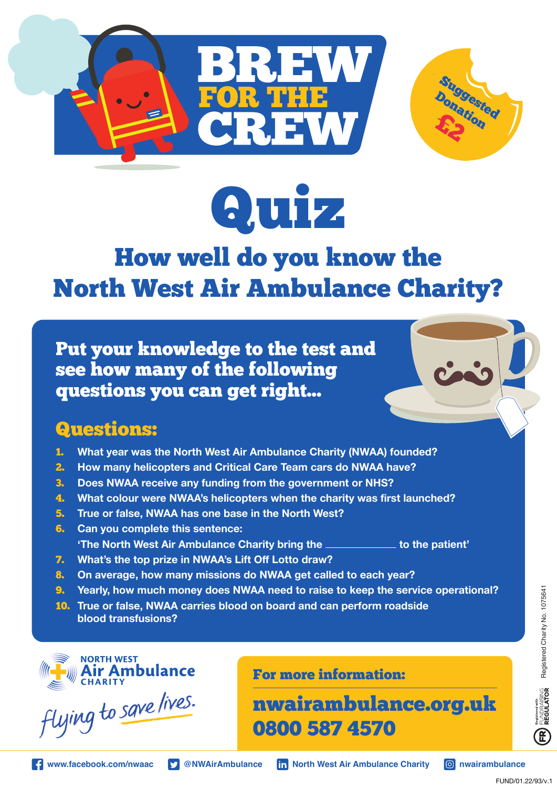



# How well do you know the North West Air Ambulance Charity?

Put your knowledge to the test and see how many of the following questions you can get right...

## Questions:

- 1. **What year was the North West Air Ambulance Charity (NWAA) founded?**
- 2. **How many helicopters and Critical Care Team cars do NWAA have?**
- 3. **Does NWAA receive any funding from the government or NHS?**
- 4. **What colour were NWAA's helicopters when the charity was first launched?**
- 5. **True or false, NWAA has one base in the North West?**
- 6. **Can you complete this sentence: 'The North West Air Ambulance Charity bring the the set of the patient'**
- 7. **What's the top prize in NWAA's Lift Off Lotto draw?**
- 8. **On average, how many missions do NWAA get called to each year?**
- 9. **Yearly, how much money does NWAA need to raise to keep the service operational?**
- 10. **True or false, NWAA carries blood on board and can perform roadside blood transfusions?**



flying to save lives.

For more information:

nwairambulance.org.uk 0800 587 4570